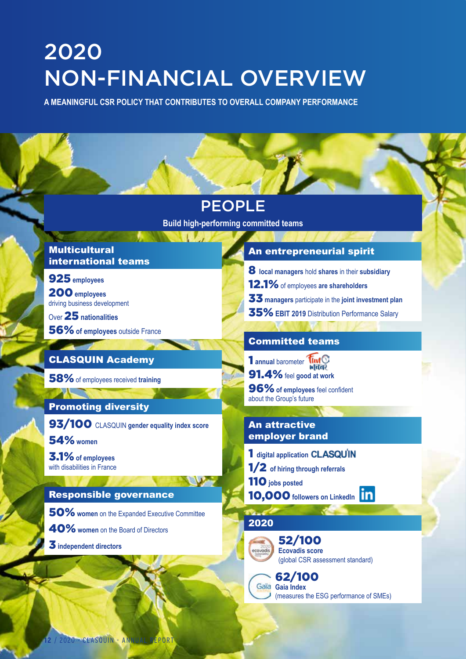# 2020 NON-FINANCIAL OVERVIEW

**A MEANINGFUL CSR POLICY THAT CONTRIBUTES TO OVERALL COMPANY PERFORMANCE**

| <b>PEOPLE</b><br><b>Build high-performing committed teams</b>    |                                                                                        |                                                                                                                              |                                                                                                                                                                                                  |
|------------------------------------------------------------------|----------------------------------------------------------------------------------------|------------------------------------------------------------------------------------------------------------------------------|--------------------------------------------------------------------------------------------------------------------------------------------------------------------------------------------------|
|                                                                  |                                                                                        | <b>Multicultural</b><br>international teams                                                                                  | An entrepreneurial spirit                                                                                                                                                                        |
|                                                                  |                                                                                        | 925 employees<br>200 employees<br>driving business development<br>Over $25$ nationalities<br>56% of employees outside France | 8 local managers hold shares in their subsidiary<br>12.1% of employees are shareholders<br>33 managers participate in the joint investment plan<br>35% EBIT 2019 Distribution Performance Salary |
| <b>CLASQUIN Academy</b>                                          | <b>Committed teams</b><br>1 annual barometer                                           |                                                                                                                              |                                                                                                                                                                                                  |
| 58% of employees received training<br><b>Promoting diversity</b> | 91.4% feel good at work<br>96% of employees feel confident<br>about the Group's future |                                                                                                                              |                                                                                                                                                                                                  |
| 93/100 CLASQUIN gender equality index score<br><b>54%</b> women  | <b>An attractive</b><br>employer brand                                                 |                                                                                                                              |                                                                                                                                                                                                  |
| 3.1% of employees<br>with disabilities in France                 | 1 digital application CLASQUIN<br>1/2 of hiring through referrals                      |                                                                                                                              |                                                                                                                                                                                                  |
|                                                                  | 110 jobs posted                                                                        |                                                                                                                              |                                                                                                                                                                                                  |

#### Responsible governance

50%**women** on the Expanded Executive Committee 40%**women** on the Board of Directors 3**independent directors**

- 
- 
- 

110**jobs posted**

10,000 followers on LinkedIn **in** 

#### 2020



52/100 **Ecovadis score** (global CSR assessment standard)

62/100 Gaia Gaia Index (measures the ESG performance of SMEs)